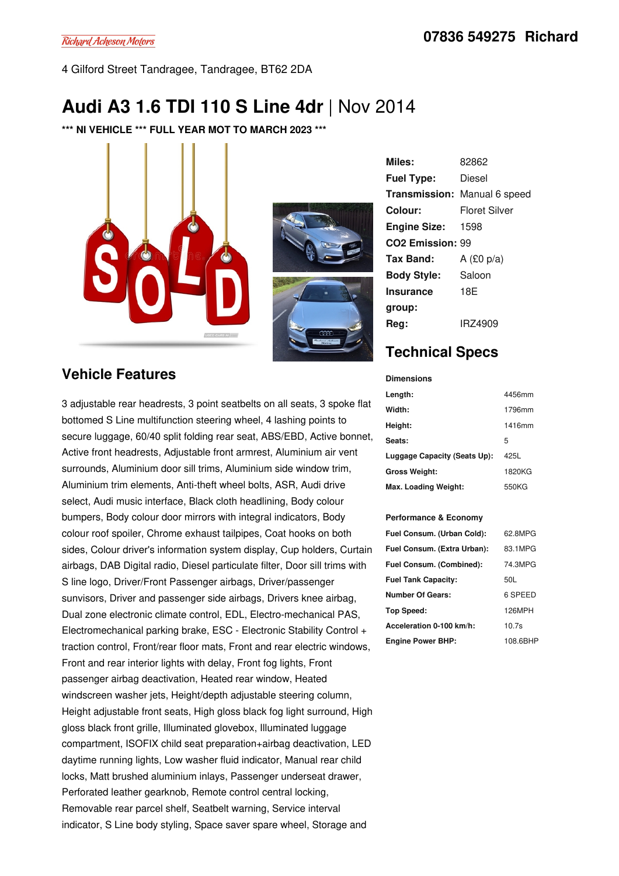4 Gilford Street Tandragee, Tandragee, BT62 2DA

# **Audi A3 1.6 TDI 110 S Line 4dr** |Nov 2014

**\*\*\* NI VEHICLE \*\*\* FULL YEAR MOT TO MARCH 2023 \*\*\***





**Miles:** 82862 **Fuel Type:** Diesel **Transmission:** Manual 6 speed **Colour:** Floret Silver **Engine Size:** 1598 **CO2 Emission:** 99 **Tax Band:** A (£0 p/a) **Body Style:** Saloon **Insurance group:** 18E **Reg:** IRZ4909

## **Technical Specs**

#### **Vehicle Features**

3 adjustable rear headrests, 3 point seatbelts on all seats, 3 spoke flat bottomed S Line multifunction steering wheel, 4 lashing points to secure luggage, 60/40 split folding rear seat, ABS/EBD, Active bonnet, Active front headrests, Adjustable front armrest, Aluminium air vent surrounds, Aluminium door sill trims, Aluminium side window trim, Aluminium trim elements, Anti-theft wheel bolts, ASR, Audi drive select, Audi music interface, Black cloth headlining, Body colour bumpers, Body colour door mirrors with integral indicators, Body colour roof spoiler, Chrome exhaust tailpipes, Coat hooks on both sides, Colour driver's information system display, Cup holders, Curtain airbags, DAB Digital radio, Diesel particulate filter, Door sill trims with S line logo, Driver/Front Passenger airbags, Driver/passenger sunvisors, Driver and passenger side airbags, Drivers knee airbag, Dual zone electronic climate control, EDL, Electro-mechanical PAS, Electromechanical parking brake, ESC - Electronic Stability Control + traction control, Front/rear floor mats, Front and rear electric windows, Front and rear interior lights with delay, Front fog lights, Front passenger airbag deactivation, Heated rear window, Heated windscreen washer jets, Height/depth adjustable steering column, Height adjustable front seats, High gloss black fog light surround, High gloss black front grille, Illuminated glovebox, Illuminated luggage compartment, ISOFIX child seat preparation+airbag deactivation, LED daytime running lights, Low washer fluid indicator, Manual rear child locks, Matt brushed aluminium inlays, Passenger underseat drawer, Perforated leather gearknob, Remote control central locking, Removable rear parcel shelf, Seatbelt warning, Service interval indicator, S Line body styling, Space saver spare wheel, Storage and

| <b>Dimensions</b>            |        |
|------------------------------|--------|
| Length:                      | 4456mm |
| Width:                       | 1796mm |
| Height:                      | 1416mm |
| Seats:                       | 5      |
| Luggage Capacity (Seats Up): | 425L   |
| <b>Gross Weight:</b>         | 1820KG |
| Max. Loading Weight:         | 550KG  |

#### **Performance & Economy**

| Fuel Consum. (Urban Cold):  | 62.8MPG  |
|-----------------------------|----------|
| Fuel Consum. (Extra Urban): | 83.1MPG  |
| Fuel Consum. (Combined):    | 74.3MPG  |
| <b>Fuel Tank Capacity:</b>  | 50L      |
| <b>Number Of Gears:</b>     | 6 SPEED  |
| Top Speed:                  | 126MPH   |
| Acceleration 0-100 km/h:    | 10.7s    |
| <b>Engine Power BHP:</b>    | 108.6BHP |